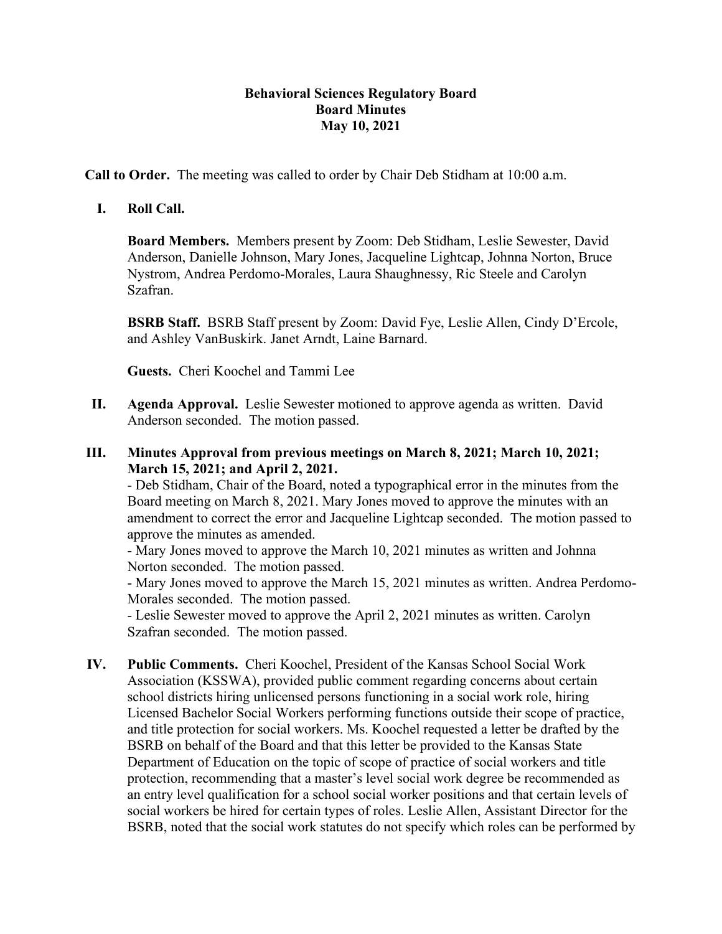# **Behavioral Sciences Regulatory Board Board Minutes May 10, 2021**

**Call to Order.** The meeting was called to order by Chair Deb Stidham at 10:00 a.m.

# **I. Roll Call.**

**Board Members.** Members present by Zoom: Deb Stidham, Leslie Sewester, David Anderson, Danielle Johnson, Mary Jones, Jacqueline Lightcap, Johnna Norton, Bruce Nystrom, Andrea Perdomo-Morales, Laura Shaughnessy, Ric Steele and Carolyn Szafran.

**BSRB Staff.** BSRB Staff present by Zoom: David Fye, Leslie Allen, Cindy D'Ercole, and Ashley VanBuskirk. Janet Arndt, Laine Barnard.

**Guests.** Cheri Koochel and Tammi Lee

- **II. Agenda Approval.** Leslie Sewester motioned to approve agenda as written. David Anderson seconded. The motion passed.
- **III. Minutes Approval from previous meetings on March 8, 2021; March 10, 2021; March 15, 2021; and April 2, 2021.**

- Deb Stidham, Chair of the Board, noted a typographical error in the minutes from the Board meeting on March 8, 2021. Mary Jones moved to approve the minutes with an amendment to correct the error and Jacqueline Lightcap seconded. The motion passed to approve the minutes as amended.

- Mary Jones moved to approve the March 10, 2021 minutes as written and Johnna Norton seconded. The motion passed.

- Mary Jones moved to approve the March 15, 2021 minutes as written. Andrea Perdomo-Morales seconded. The motion passed.

- Leslie Sewester moved to approve the April 2, 2021 minutes as written. Carolyn Szafran seconded. The motion passed.

**IV. Public Comments.** Cheri Koochel, President of the Kansas School Social Work Association (KSSWA), provided public comment regarding concerns about certain school districts hiring unlicensed persons functioning in a social work role, hiring Licensed Bachelor Social Workers performing functions outside their scope of practice, and title protection for social workers. Ms. Koochel requested a letter be drafted by the BSRB on behalf of the Board and that this letter be provided to the Kansas State Department of Education on the topic of scope of practice of social workers and title protection, recommending that a master's level social work degree be recommended as an entry level qualification for a school social worker positions and that certain levels of social workers be hired for certain types of roles. Leslie Allen, Assistant Director for the BSRB, noted that the social work statutes do not specify which roles can be performed by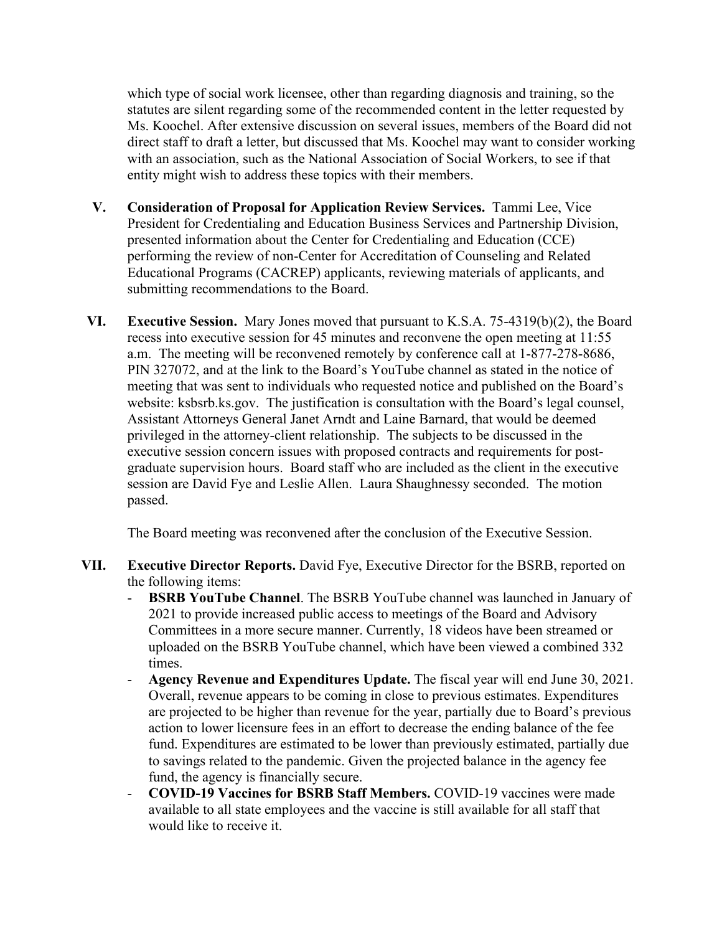which type of social work licensee, other than regarding diagnosis and training, so the statutes are silent regarding some of the recommended content in the letter requested by Ms. Koochel. After extensive discussion on several issues, members of the Board did not direct staff to draft a letter, but discussed that Ms. Koochel may want to consider working with an association, such as the National Association of Social Workers, to see if that entity might wish to address these topics with their members.

- **V. Consideration of Proposal for Application Review Services.** Tammi Lee, Vice President for Credentialing and Education Business Services and Partnership Division, presented information about the Center for Credentialing and Education (CCE) performing the review of non-Center for Accreditation of Counseling and Related Educational Programs (CACREP) applicants, reviewing materials of applicants, and submitting recommendations to the Board.
- **VI. Executive Session.** Mary Jones moved that pursuant to K.S.A. 75-4319(b)(2), the Board recess into executive session for 45 minutes and reconvene the open meeting at 11:55 a.m. The meeting will be reconvened remotely by conference call at 1-877-278-8686, PIN 327072, and at the link to the Board's YouTube channel as stated in the notice of meeting that was sent to individuals who requested notice and published on the Board's website: ksbsrb.ks.gov. The justification is consultation with the Board's legal counsel, Assistant Attorneys General Janet Arndt and Laine Barnard, that would be deemed privileged in the attorney-client relationship. The subjects to be discussed in the executive session concern issues with proposed contracts and requirements for postgraduate supervision hours. Board staff who are included as the client in the executive session are David Fye and Leslie Allen. Laura Shaughnessy seconded. The motion passed.

The Board meeting was reconvened after the conclusion of the Executive Session.

- **VII. Executive Director Reports.** David Fye, Executive Director for the BSRB, reported on the following items:
	- **BSRB YouTube Channel.** The BSRB YouTube channel was launched in January of 2021 to provide increased public access to meetings of the Board and Advisory Committees in a more secure manner. Currently, 18 videos have been streamed or uploaded on the BSRB YouTube channel, which have been viewed a combined 332 times.
	- **Agency Revenue and Expenditures Update.** The fiscal year will end June 30, 2021. Overall, revenue appears to be coming in close to previous estimates. Expenditures are projected to be higher than revenue for the year, partially due to Board's previous action to lower licensure fees in an effort to decrease the ending balance of the fee fund. Expenditures are estimated to be lower than previously estimated, partially due to savings related to the pandemic. Given the projected balance in the agency fee fund, the agency is financially secure.
	- **COVID-19 Vaccines for BSRB Staff Members.** COVID-19 vaccines were made available to all state employees and the vaccine is still available for all staff that would like to receive it.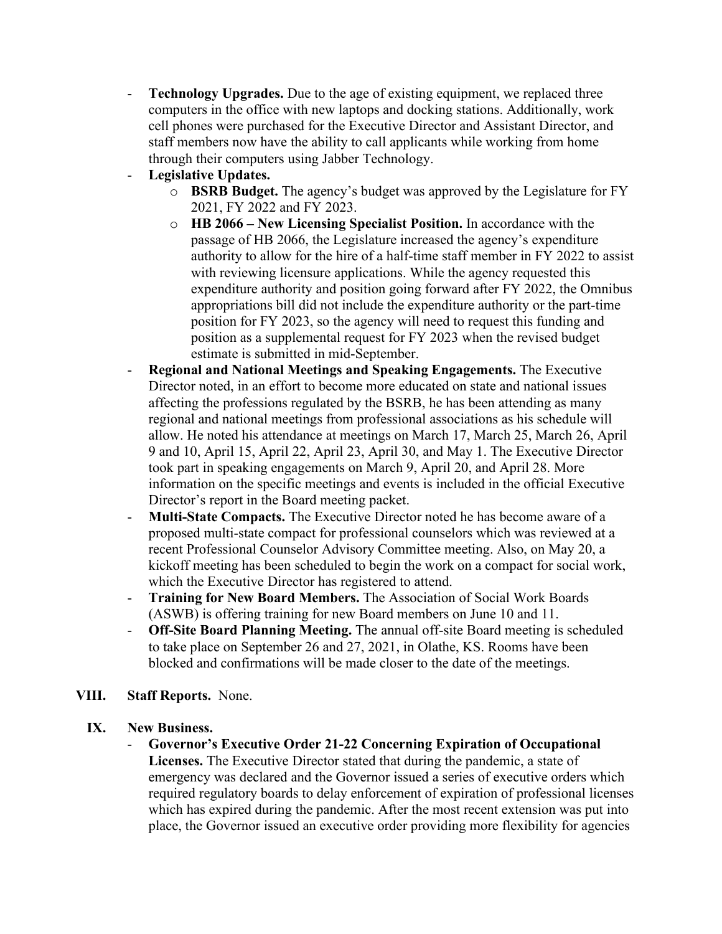- **Technology Upgrades.** Due to the age of existing equipment, we replaced three computers in the office with new laptops and docking stations. Additionally, work cell phones were purchased for the Executive Director and Assistant Director, and staff members now have the ability to call applicants while working from home through their computers using Jabber Technology.
- Legislative Updates.
	- o **BSRB Budget.** The agency's budget was approved by the Legislature for FY 2021, FY 2022 and FY 2023.
	- o **HB 2066 – New Licensing Specialist Position.** In accordance with the passage of HB 2066, the Legislature increased the agency's expenditure authority to allow for the hire of a half-time staff member in FY 2022 to assist with reviewing licensure applications. While the agency requested this expenditure authority and position going forward after FY 2022, the Omnibus appropriations bill did not include the expenditure authority or the part-time position for FY 2023, so the agency will need to request this funding and position as a supplemental request for FY 2023 when the revised budget estimate is submitted in mid-September.
- **Regional and National Meetings and Speaking Engagements.** The Executive Director noted, in an effort to become more educated on state and national issues affecting the professions regulated by the BSRB, he has been attending as many regional and national meetings from professional associations as his schedule will allow. He noted his attendance at meetings on March 17, March 25, March 26, April 9 and 10, April 15, April 22, April 23, April 30, and May 1. The Executive Director took part in speaking engagements on March 9, April 20, and April 28. More information on the specific meetings and events is included in the official Executive Director's report in the Board meeting packet.
- **Multi-State Compacts.** The Executive Director noted he has become aware of a proposed multi-state compact for professional counselors which was reviewed at a recent Professional Counselor Advisory Committee meeting. Also, on May 20, a kickoff meeting has been scheduled to begin the work on a compact for social work, which the Executive Director has registered to attend.
- **Training for New Board Members.** The Association of Social Work Boards (ASWB) is offering training for new Board members on June 10 and 11.
- **Off-Site Board Planning Meeting.** The annual off-site Board meeting is scheduled to take place on September 26 and 27, 2021, in Olathe, KS. Rooms have been blocked and confirmations will be made closer to the date of the meetings.
- **VIII. Staff Reports.** None.
	- **IX. New Business.**
		- **Governor's Executive Order 21-22 Concerning Expiration of Occupational Licenses.** The Executive Director stated that during the pandemic, a state of emergency was declared and the Governor issued a series of executive orders which required regulatory boards to delay enforcement of expiration of professional licenses which has expired during the pandemic. After the most recent extension was put into place, the Governor issued an executive order providing more flexibility for agencies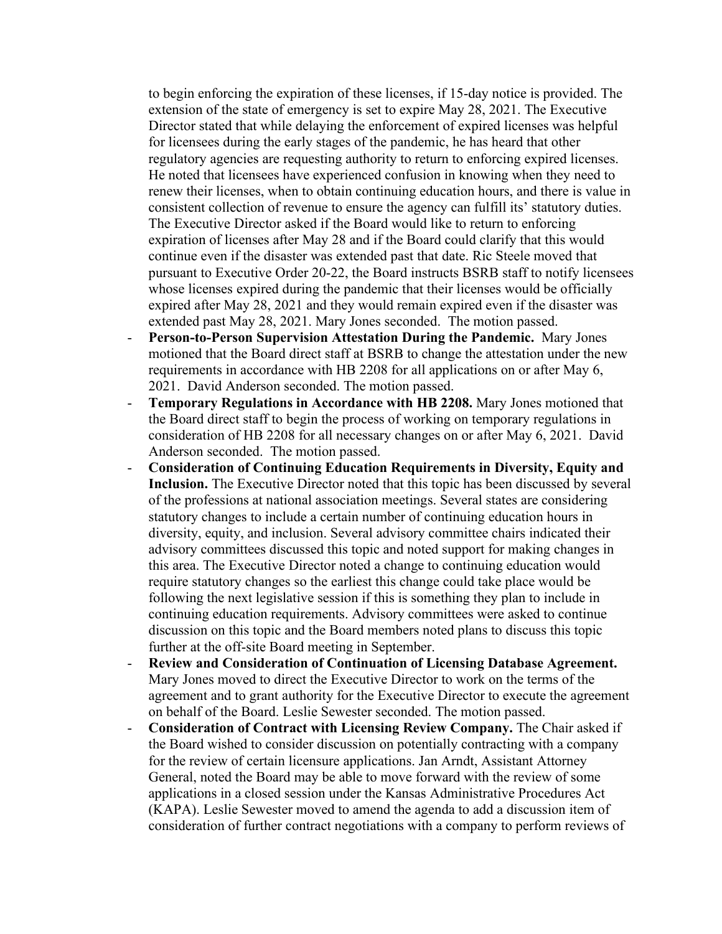to begin enforcing the expiration of these licenses, if 15-day notice is provided. The extension of the state of emergency is set to expire May 28, 2021. The Executive Director stated that while delaying the enforcement of expired licenses was helpful for licensees during the early stages of the pandemic, he has heard that other regulatory agencies are requesting authority to return to enforcing expired licenses. He noted that licensees have experienced confusion in knowing when they need to renew their licenses, when to obtain continuing education hours, and there is value in consistent collection of revenue to ensure the agency can fulfill its' statutory duties. The Executive Director asked if the Board would like to return to enforcing expiration of licenses after May 28 and if the Board could clarify that this would continue even if the disaster was extended past that date. Ric Steele moved that pursuant to Executive Order 20-22, the Board instructs BSRB staff to notify licensees whose licenses expired during the pandemic that their licenses would be officially expired after May 28, 2021 and they would remain expired even if the disaster was extended past May 28, 2021. Mary Jones seconded. The motion passed.

- **Person-to-Person Supervision Attestation During the Pandemic.** Mary Jones motioned that the Board direct staff at BSRB to change the attestation under the new requirements in accordance with HB 2208 for all applications on or after May 6, 2021. David Anderson seconded. The motion passed.
- **Temporary Regulations in Accordance with HB 2208.** Mary Jones motioned that the Board direct staff to begin the process of working on temporary regulations in consideration of HB 2208 for all necessary changes on or after May 6, 2021. David Anderson seconded. The motion passed.
- **Consideration of Continuing Education Requirements in Diversity, Equity and Inclusion.** The Executive Director noted that this topic has been discussed by several of the professions at national association meetings. Several states are considering statutory changes to include a certain number of continuing education hours in diversity, equity, and inclusion. Several advisory committee chairs indicated their advisory committees discussed this topic and noted support for making changes in this area. The Executive Director noted a change to continuing education would require statutory changes so the earliest this change could take place would be following the next legislative session if this is something they plan to include in continuing education requirements. Advisory committees were asked to continue discussion on this topic and the Board members noted plans to discuss this topic further at the off-site Board meeting in September.
- **Review and Consideration of Continuation of Licensing Database Agreement.** Mary Jones moved to direct the Executive Director to work on the terms of the agreement and to grant authority for the Executive Director to execute the agreement on behalf of the Board. Leslie Sewester seconded. The motion passed.
- **Consideration of Contract with Licensing Review Company.** The Chair asked if the Board wished to consider discussion on potentially contracting with a company for the review of certain licensure applications. Jan Arndt, Assistant Attorney General, noted the Board may be able to move forward with the review of some applications in a closed session under the Kansas Administrative Procedures Act (KAPA). Leslie Sewester moved to amend the agenda to add a discussion item of consideration of further contract negotiations with a company to perform reviews of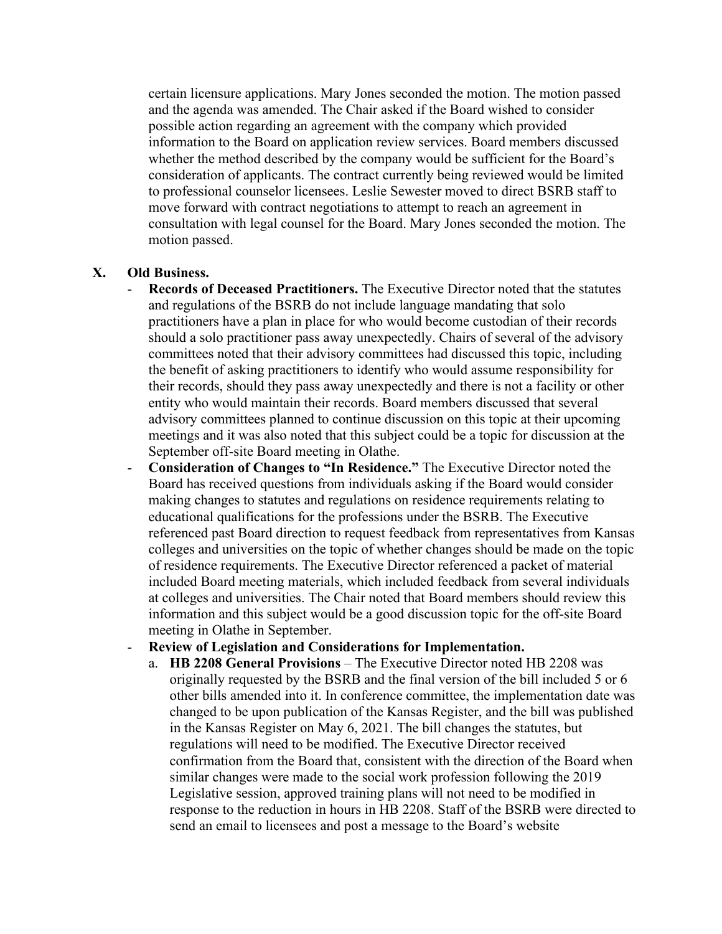certain licensure applications. Mary Jones seconded the motion. The motion passed and the agenda was amended. The Chair asked if the Board wished to consider possible action regarding an agreement with the company which provided information to the Board on application review services. Board members discussed whether the method described by the company would be sufficient for the Board's consideration of applicants. The contract currently being reviewed would be limited to professional counselor licensees. Leslie Sewester moved to direct BSRB staff to move forward with contract negotiations to attempt to reach an agreement in consultation with legal counsel for the Board. Mary Jones seconded the motion. The motion passed.

# **X. Old Business.**

- **Records of Deceased Practitioners.** The Executive Director noted that the statutes and regulations of the BSRB do not include language mandating that solo practitioners have a plan in place for who would become custodian of their records should a solo practitioner pass away unexpectedly. Chairs of several of the advisory committees noted that their advisory committees had discussed this topic, including the benefit of asking practitioners to identify who would assume responsibility for their records, should they pass away unexpectedly and there is not a facility or other entity who would maintain their records. Board members discussed that several advisory committees planned to continue discussion on this topic at their upcoming meetings and it was also noted that this subject could be a topic for discussion at the September off-site Board meeting in Olathe.
- **Consideration of Changes to "In Residence."** The Executive Director noted the Board has received questions from individuals asking if the Board would consider making changes to statutes and regulations on residence requirements relating to educational qualifications for the professions under the BSRB. The Executive referenced past Board direction to request feedback from representatives from Kansas colleges and universities on the topic of whether changes should be made on the topic of residence requirements. The Executive Director referenced a packet of material included Board meeting materials, which included feedback from several individuals at colleges and universities. The Chair noted that Board members should review this information and this subject would be a good discussion topic for the off-site Board meeting in Olathe in September.

#### - **Review of Legislation and Considerations for Implementation.**

a. **HB 2208 General Provisions** – The Executive Director noted HB 2208 was originally requested by the BSRB and the final version of the bill included 5 or 6 other bills amended into it. In conference committee, the implementation date was changed to be upon publication of the Kansas Register, and the bill was published in the Kansas Register on May 6, 2021. The bill changes the statutes, but regulations will need to be modified. The Executive Director received confirmation from the Board that, consistent with the direction of the Board when similar changes were made to the social work profession following the 2019 Legislative session, approved training plans will not need to be modified in response to the reduction in hours in HB 2208. Staff of the BSRB were directed to send an email to licensees and post a message to the Board's website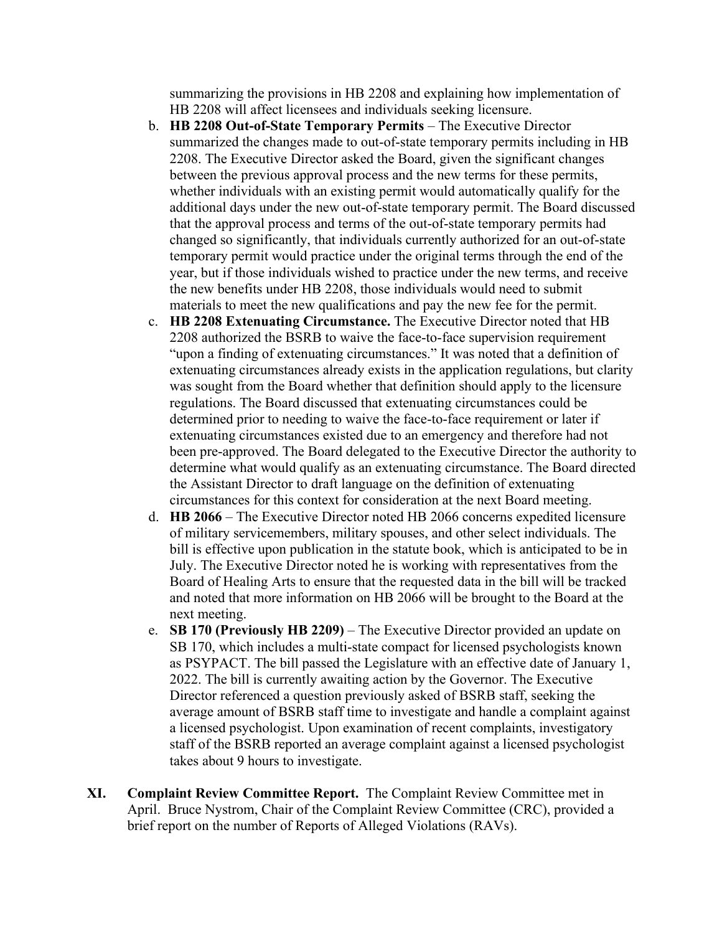summarizing the provisions in HB 2208 and explaining how implementation of HB 2208 will affect licensees and individuals seeking licensure.

- b. **HB 2208 Out-of-State Temporary Permits** The Executive Director summarized the changes made to out-of-state temporary permits including in HB 2208. The Executive Director asked the Board, given the significant changes between the previous approval process and the new terms for these permits, whether individuals with an existing permit would automatically qualify for the additional days under the new out-of-state temporary permit. The Board discussed that the approval process and terms of the out-of-state temporary permits had changed so significantly, that individuals currently authorized for an out-of-state temporary permit would practice under the original terms through the end of the year, but if those individuals wished to practice under the new terms, and receive the new benefits under HB 2208, those individuals would need to submit materials to meet the new qualifications and pay the new fee for the permit.
- c. **HB 2208 Extenuating Circumstance.** The Executive Director noted that HB 2208 authorized the BSRB to waive the face-to-face supervision requirement "upon a finding of extenuating circumstances." It was noted that a definition of extenuating circumstances already exists in the application regulations, but clarity was sought from the Board whether that definition should apply to the licensure regulations. The Board discussed that extenuating circumstances could be determined prior to needing to waive the face-to-face requirement or later if extenuating circumstances existed due to an emergency and therefore had not been pre-approved. The Board delegated to the Executive Director the authority to determine what would qualify as an extenuating circumstance. The Board directed the Assistant Director to draft language on the definition of extenuating circumstances for this context for consideration at the next Board meeting.
- d. **HB 2066** The Executive Director noted HB 2066 concerns expedited licensure of military servicemembers, military spouses, and other select individuals. The bill is effective upon publication in the statute book, which is anticipated to be in July. The Executive Director noted he is working with representatives from the Board of Healing Arts to ensure that the requested data in the bill will be tracked and noted that more information on HB 2066 will be brought to the Board at the next meeting.
- e. **SB 170 (Previously HB 2209)** The Executive Director provided an update on SB 170, which includes a multi-state compact for licensed psychologists known as PSYPACT. The bill passed the Legislature with an effective date of January 1, 2022. The bill is currently awaiting action by the Governor. The Executive Director referenced a question previously asked of BSRB staff, seeking the average amount of BSRB staff time to investigate and handle a complaint against a licensed psychologist. Upon examination of recent complaints, investigatory staff of the BSRB reported an average complaint against a licensed psychologist takes about 9 hours to investigate.
- **XI. Complaint Review Committee Report.** The Complaint Review Committee met in April. Bruce Nystrom, Chair of the Complaint Review Committee (CRC), provided a brief report on the number of Reports of Alleged Violations (RAVs).